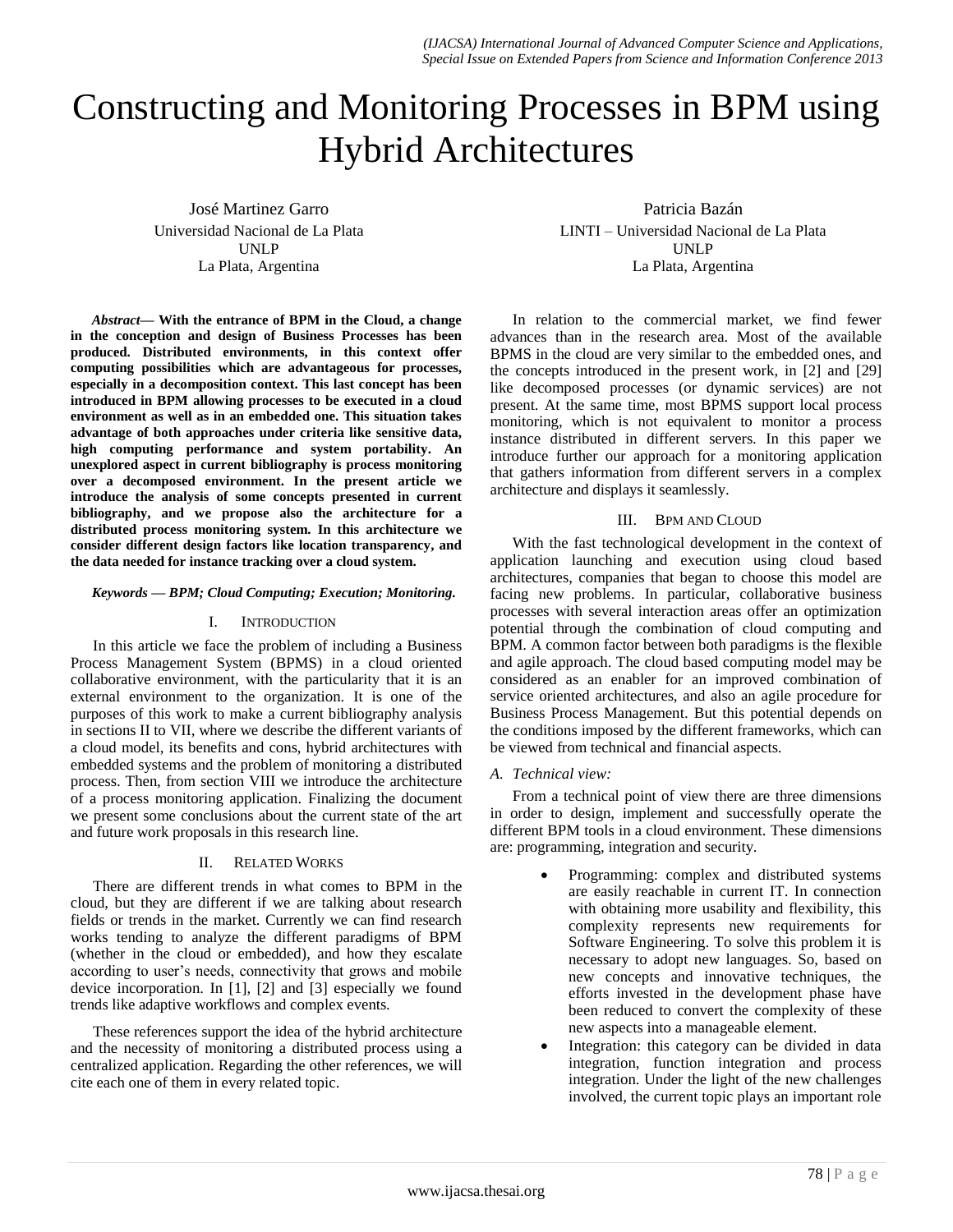# Constructing and Monitoring Processes in BPM using Hybrid Architectures

José Martinez Garro Universidad Nacional de La Plata UNLP La Plata, Argentina

*Abstract***— With the entrance of BPM in the Cloud, a change in the conception and design of Business Processes has been produced. Distributed environments, in this context offer computing possibilities which are advantageous for processes, especially in a decomposition context. This last concept has been introduced in BPM allowing processes to be executed in a cloud environment as well as in an embedded one. This situation takes advantage of both approaches under criteria like sensitive data, high computing performance and system portability. An unexplored aspect in current bibliography is process monitoring over a decomposed environment. In the present article we introduce the analysis of some concepts presented in current bibliography, and we propose also the architecture for a distributed process monitoring system. In this architecture we consider different design factors like location transparency, and the data needed for instance tracking over a cloud system.**

### *Keywords — BPM; Cloud Computing; Execution; Monitoring.*

#### I. INTRODUCTION

In this article we face the problem of including a Business Process Management System (BPMS) in a cloud oriented collaborative environment, with the particularity that it is an external environment to the organization. It is one of the purposes of this work to make a current bibliography analysis in sections II to VII, where we describe the different variants of a cloud model, its benefits and cons, hybrid architectures with embedded systems and the problem of monitoring a distributed process. Then, from section VIII we introduce the architecture of a process monitoring application. Finalizing the document we present some conclusions about the current state of the art and future work proposals in this research line.

# II. RELATED WORKS

There are different trends in what comes to BPM in the cloud, but they are different if we are talking about research fields or trends in the market. Currently we can find research works tending to analyze the different paradigms of BPM (whether in the cloud or embedded), and how they escalate according to user's needs, connectivity that grows and mobile device incorporation. In [1], [2] and [3] especially we found trends like adaptive workflows and complex events.

These references support the idea of the hybrid architecture and the necessity of monitoring a distributed process using a centralized application. Regarding the other references, we will cite each one of them in every related topic.

Patricia Bazán LINTI – Universidad Nacional de La Plata UNLP La Plata, Argentina

In relation to the commercial market, we find fewer advances than in the research area. Most of the available BPMS in the cloud are very similar to the embedded ones, and the concepts introduced in the present work, in [2] and [29] like decomposed processes (or dynamic services) are not present. At the same time, most BPMS support local process monitoring, which is not equivalent to monitor a process instance distributed in different servers. In this paper we introduce further our approach for a monitoring application that gathers information from different servers in a complex architecture and displays it seamlessly.

# III. BPM AND CLOUD

With the fast technological development in the context of application launching and execution using cloud based architectures, companies that began to choose this model are facing new problems. In particular, collaborative business processes with several interaction areas offer an optimization potential through the combination of cloud computing and BPM. A common factor between both paradigms is the flexible and agile approach. The cloud based computing model may be considered as an enabler for an improved combination of service oriented architectures, and also an agile procedure for Business Process Management. But this potential depends on the conditions imposed by the different frameworks, which can be viewed from technical and financial aspects.

# *A. Technical view:*

From a technical point of view there are three dimensions in order to design, implement and successfully operate the different BPM tools in a cloud environment. These dimensions are: programming, integration and security.

- Programming: complex and distributed systems are easily reachable in current IT. In connection with obtaining more usability and flexibility, this complexity represents new requirements for Software Engineering. To solve this problem it is necessary to adopt new languages. So, based on new concepts and innovative techniques, the efforts invested in the development phase have been reduced to convert the complexity of these new aspects into a manageable element.
- Integration: this category can be divided in data integration, function integration and process integration. Under the light of the new challenges involved, the current topic plays an important role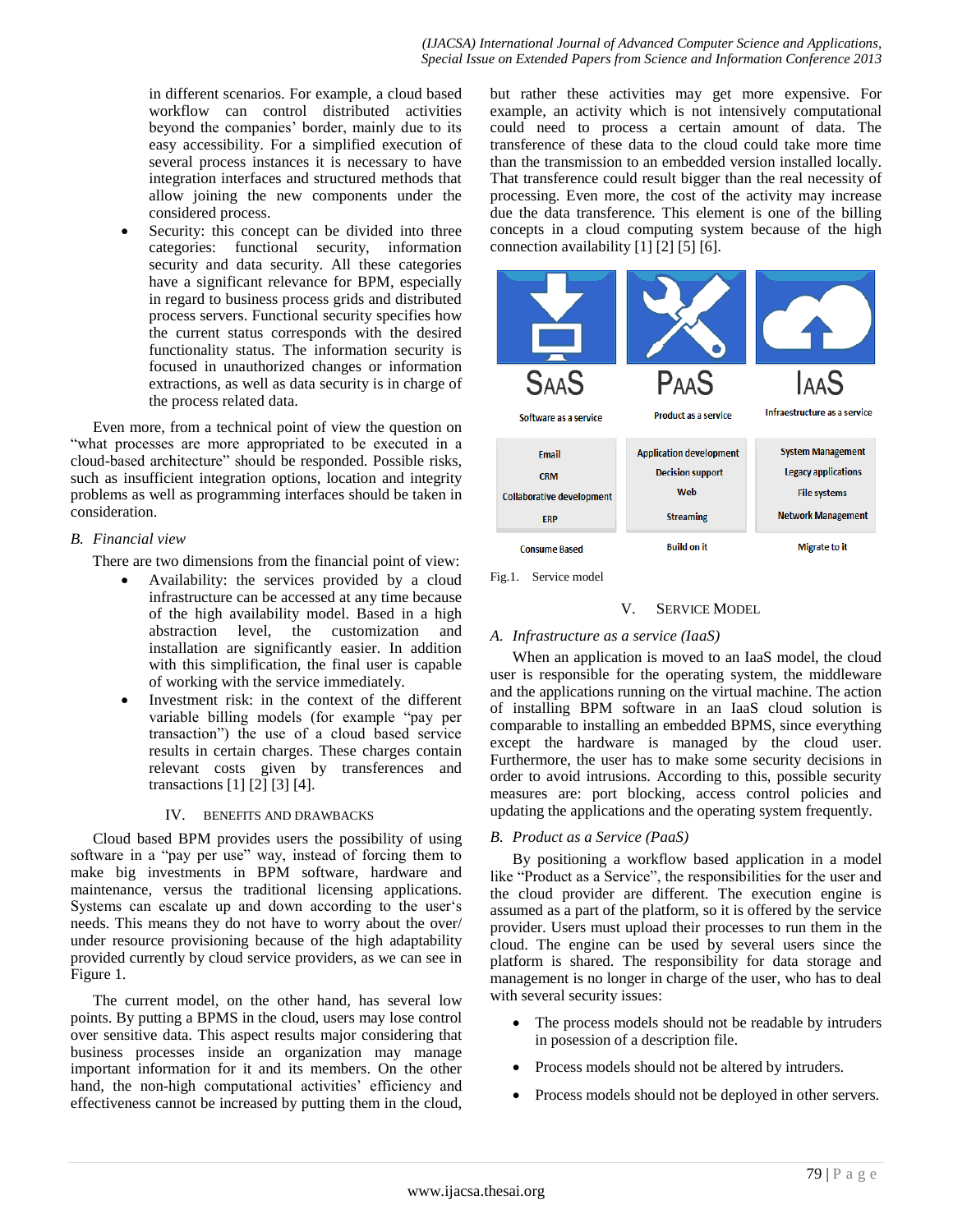in different scenarios. For example, a cloud based workflow can control distributed activities beyond the companies' border, mainly due to its easy accessibility. For a simplified execution of several process instances it is necessary to have integration interfaces and structured methods that allow joining the new components under the considered process.

 Security: this concept can be divided into three categories: functional security, information security and data security. All these categories have a significant relevance for BPM, especially in regard to business process grids and distributed process servers. Functional security specifies how the current status corresponds with the desired functionality status. The information security is focused in unauthorized changes or information extractions, as well as data security is in charge of the process related data.

Even more, from a technical point of view the question on "what processes are more appropriated to be executed in a cloud-based architecture" should be responded. Possible risks, such as insufficient integration options, location and integrity problems as well as programming interfaces should be taken in consideration.

# *B. Financial view*

There are two dimensions from the financial point of view:

- Availability: the services provided by a cloud infrastructure can be accessed at any time because of the high availability model. Based in a high abstraction level, the customization and installation are significantly easier. In addition with this simplification, the final user is capable of working with the service immediately.
- Investment risk: in the context of the different variable billing models (for example "pay per transaction") the use of a cloud based service results in certain charges. These charges contain relevant costs given by transferences and transactions [1] [2] [3] [4].

# IV. BENEFITS AND DRAWBACKS

Cloud based BPM provides users the possibility of using software in a "pay per use" way, instead of forcing them to make big investments in BPM software, hardware and maintenance, versus the traditional licensing applications. Systems can escalate up and down according to the user's needs. This means they do not have to worry about the over/ under resource provisioning because of the high adaptability provided currently by cloud service providers, as we can see in Figure 1.

The current model, on the other hand, has several low points. By putting a BPMS in the cloud, users may lose control over sensitive data. This aspect results major considering that business processes inside an organization may manage important information for it and its members. On the other hand, the non-high computational activities' efficiency and effectiveness cannot be increased by putting them in the cloud,

but rather these activities may get more expensive. For example, an activity which is not intensively computational could need to process a certain amount of data. The transference of these data to the cloud could take more time than the transmission to an embedded version installed locally. That transference could result bigger than the real necessity of processing. Even more, the cost of the activity may increase due the data transference. This element is one of the billing concepts in a cloud computing system because of the high connection availability [1] [2] [5] [6].



Fig.1. Service model

# V. SERVICE MODEL

# *A. Infrastructure as a service (IaaS)*

When an application is moved to an IaaS model, the cloud user is responsible for the operating system, the middleware and the applications running on the virtual machine. The action of installing BPM software in an IaaS cloud solution is comparable to installing an embedded BPMS, since everything except the hardware is managed by the cloud user. Furthermore, the user has to make some security decisions in order to avoid intrusions. According to this, possible security measures are: port blocking, access control policies and updating the applications and the operating system frequently.

# *B. Product as a Service (PaaS)*

By positioning a workflow based application in a model like "Product as a Service", the responsibilities for the user and the cloud provider are different. The execution engine is assumed as a part of the platform, so it is offered by the service provider. Users must upload their processes to run them in the cloud. The engine can be used by several users since the platform is shared. The responsibility for data storage and management is no longer in charge of the user, who has to deal with several security issues:

- The process models should not be readable by intruders in posession of a description file.
- Process models should not be altered by intruders.
- Process models should not be deployed in other servers.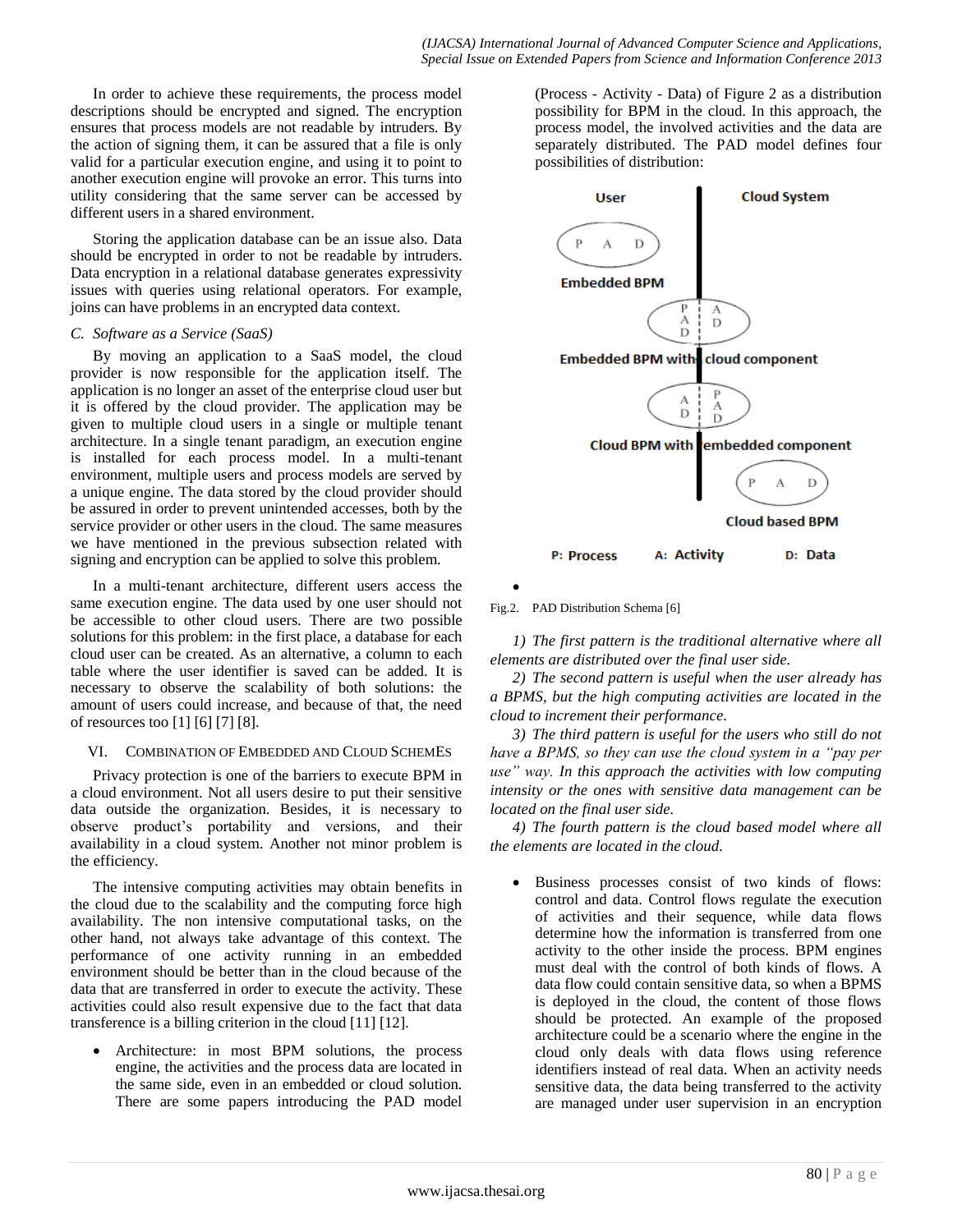In order to achieve these requirements, the process model descriptions should be encrypted and signed. The encryption ensures that process models are not readable by intruders. By the action of signing them, it can be assured that a file is only valid for a particular execution engine, and using it to point to another execution engine will provoke an error. This turns into utility considering that the same server can be accessed by different users in a shared environment.

Storing the application database can be an issue also. Data should be encrypted in order to not be readable by intruders. Data encryption in a relational database generates expressivity issues with queries using relational operators. For example, joins can have problems in an encrypted data context.

# *C. Software as a Service (SaaS)*

By moving an application to a SaaS model, the cloud provider is now responsible for the application itself. The application is no longer an asset of the enterprise cloud user but it is offered by the cloud provider. The application may be given to multiple cloud users in a single or multiple tenant architecture. In a single tenant paradigm, an execution engine is installed for each process model. In a multi-tenant environment, multiple users and process models are served by a unique engine. The data stored by the cloud provider should be assured in order to prevent unintended accesses, both by the service provider or other users in the cloud. The same measures we have mentioned in the previous subsection related with signing and encryption can be applied to solve this problem.

In a multi-tenant architecture, different users access the same execution engine. The data used by one user should not be accessible to other cloud users. There are two possible solutions for this problem: in the first place, a database for each cloud user can be created. As an alternative, a column to each table where the user identifier is saved can be added. It is necessary to observe the scalability of both solutions: the amount of users could increase, and because of that, the need of resources too [1] [6] [7] [8].

# VI. COMBINATION OF EMBEDDED AND CLOUD SCHEMES

Privacy protection is one of the barriers to execute BPM in a cloud environment. Not all users desire to put their sensitive data outside the organization. Besides, it is necessary to observe product's portability and versions, and their availability in a cloud system. Another not minor problem is the efficiency.

The intensive computing activities may obtain benefits in the cloud due to the scalability and the computing force high availability. The non intensive computational tasks, on the other hand, not always take advantage of this context. The performance of one activity running in an embedded environment should be better than in the cloud because of the data that are transferred in order to execute the activity. These activities could also result expensive due to the fact that data transference is a billing criterion in the cloud [11] [12].

 Architecture: in most BPM solutions, the process engine, the activities and the process data are located in the same side, even in an embedded or cloud solution. There are some papers introducing the PAD model

(Process - Activity - Data) of Figure 2 as a distribution possibility for BPM in the cloud. In this approach, the process model, the involved activities and the data are separately distributed. The PAD model defines four possibilities of distribution:



Fig.2. PAD Distribution Schema [6]

 $\bullet$ 

*1) The first pattern is the traditional alternative where all elements are distributed over the final user side.* 

*2) The second pattern is useful when the user already has a BPMS, but the high computing activities are located in the cloud to increment their performance.* 

*3) The third pattern is useful for the users who still do not have a BPMS, so they can use the cloud system in a "pay per use" way. In this approach the activities with low computing intensity or the ones with sensitive data management can be located on the final user side.* 

*4) The fourth pattern is the cloud based model where all the elements are located in the cloud.*

 Business processes consist of two kinds of flows: control and data. Control flows regulate the execution of activities and their sequence, while data flows determine how the information is transferred from one activity to the other inside the process. BPM engines must deal with the control of both kinds of flows. A data flow could contain sensitive data, so when a BPMS is deployed in the cloud, the content of those flows should be protected. An example of the proposed architecture could be a scenario where the engine in the cloud only deals with data flows using reference identifiers instead of real data. When an activity needs sensitive data, the data being transferred to the activity are managed under user supervision in an encryption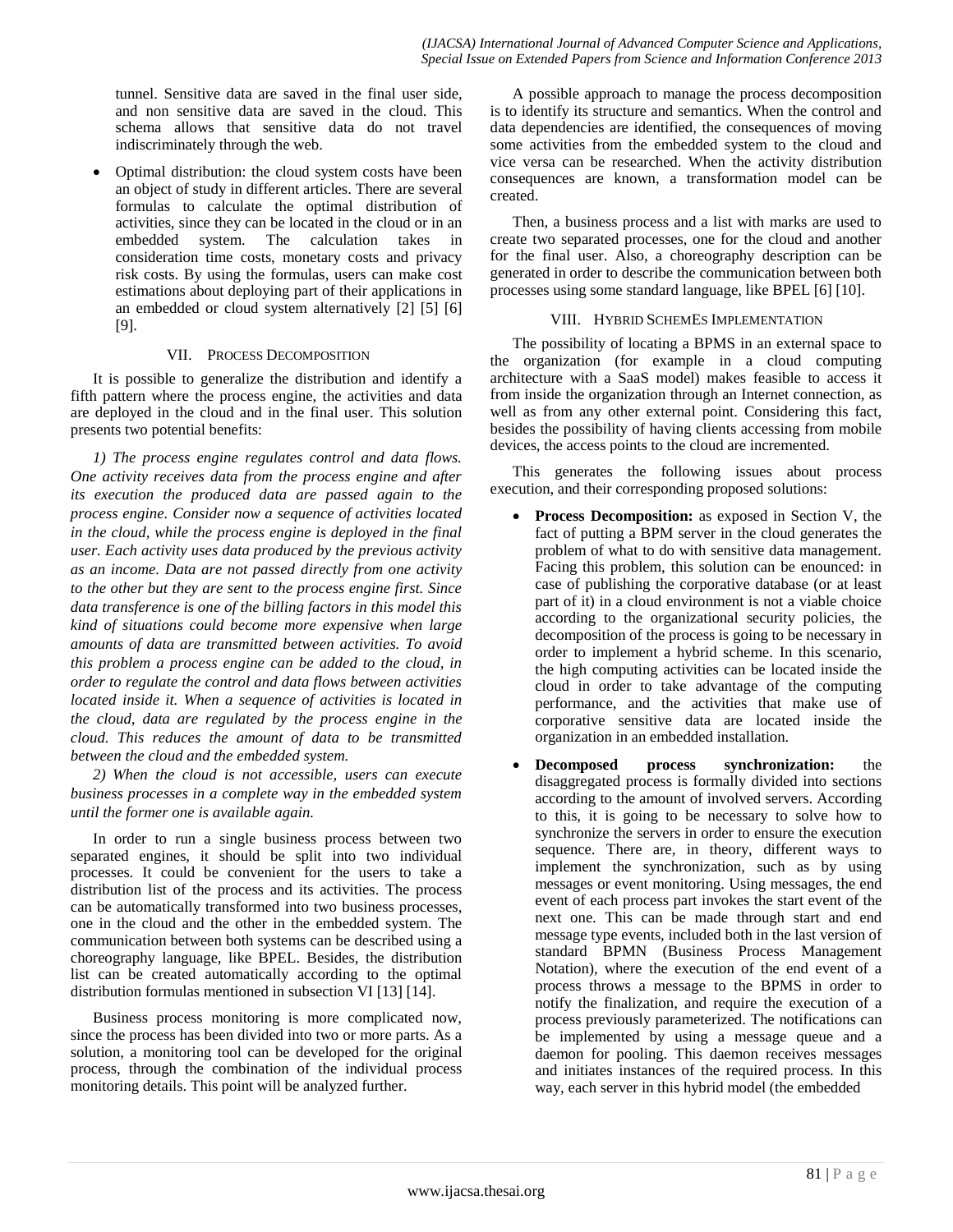tunnel. Sensitive data are saved in the final user side, and non sensitive data are saved in the cloud. This schema allows that sensitive data do not travel indiscriminately through the web.

 Optimal distribution: the cloud system costs have been an object of study in different articles. There are several formulas to calculate the optimal distribution of activities, since they can be located in the cloud or in an embedded system. The calculation takes in consideration time costs, monetary costs and privacy risk costs. By using the formulas, users can make cost estimations about deploying part of their applications in an embedded or cloud system alternatively [2] [5] [6] [9].

# VII. PROCESS DECOMPOSITION

It is possible to generalize the distribution and identify a fifth pattern where the process engine, the activities and data are deployed in the cloud and in the final user. This solution presents two potential benefits:

*1) The process engine regulates control and data flows. One activity receives data from the process engine and after its execution the produced data are passed again to the process engine. Consider now a sequence of activities located in the cloud, while the process engine is deployed in the final user. Each activity uses data produced by the previous activity as an income. Data are not passed directly from one activity to the other but they are sent to the process engine first. Since data transference is one of the billing factors in this model this kind of situations could become more expensive when large amounts of data are transmitted between activities. To avoid this problem a process engine can be added to the cloud, in order to regulate the control and data flows between activities located inside it. When a sequence of activities is located in the cloud, data are regulated by the process engine in the cloud. This reduces the amount of data to be transmitted between the cloud and the embedded system.*

*2) When the cloud is not accessible, users can execute business processes in a complete way in the embedded system until the former one is available again.*

In order to run a single business process between two separated engines, it should be split into two individual processes. It could be convenient for the users to take a distribution list of the process and its activities. The process can be automatically transformed into two business processes, one in the cloud and the other in the embedded system. The communication between both systems can be described using a choreography language, like BPEL. Besides, the distribution list can be created automatically according to the optimal distribution formulas mentioned in subsection VI [13] [14].

Business process monitoring is more complicated now, since the process has been divided into two or more parts. As a solution, a monitoring tool can be developed for the original process, through the combination of the individual process monitoring details. This point will be analyzed further.

A possible approach to manage the process decomposition is to identify its structure and semantics. When the control and data dependencies are identified, the consequences of moving some activities from the embedded system to the cloud and vice versa can be researched. When the activity distribution consequences are known, a transformation model can be created.

Then, a business process and a list with marks are used to create two separated processes, one for the cloud and another for the final user. Also, a choreography description can be generated in order to describe the communication between both processes using some standard language, like BPEL [6] [10].

# VIII. HYBRID SCHEMES IMPLEMENTATION

The possibility of locating a BPMS in an external space to the organization (for example in a cloud computing architecture with a SaaS model) makes feasible to access it from inside the organization through an Internet connection, as well as from any other external point. Considering this fact, besides the possibility of having clients accessing from mobile devices, the access points to the cloud are incremented.

This generates the following issues about process execution, and their corresponding proposed solutions:

- **Process Decomposition:** as exposed in Section V, the fact of putting a BPM server in the cloud generates the problem of what to do with sensitive data management. Facing this problem, this solution can be enounced: in case of publishing the corporative database (or at least part of it) in a cloud environment is not a viable choice according to the organizational security policies, the decomposition of the process is going to be necessary in order to implement a hybrid scheme. In this scenario, the high computing activities can be located inside the cloud in order to take advantage of the computing performance, and the activities that make use of corporative sensitive data are located inside the organization in an embedded installation.
- **Decomposed process synchronization:** the disaggregated process is formally divided into sections according to the amount of involved servers. According to this, it is going to be necessary to solve how to synchronize the servers in order to ensure the execution sequence. There are, in theory, different ways to implement the synchronization, such as by using messages or event monitoring. Using messages, the end event of each process part invokes the start event of the next one. This can be made through start and end message type events, included both in the last version of standard BPMN (Business Process Management Notation), where the execution of the end event of a process throws a message to the BPMS in order to notify the finalization, and require the execution of a process previously parameterized. The notifications can be implemented by using a message queue and a daemon for pooling. This daemon receives messages and initiates instances of the required process. In this way, each server in this hybrid model (the embedded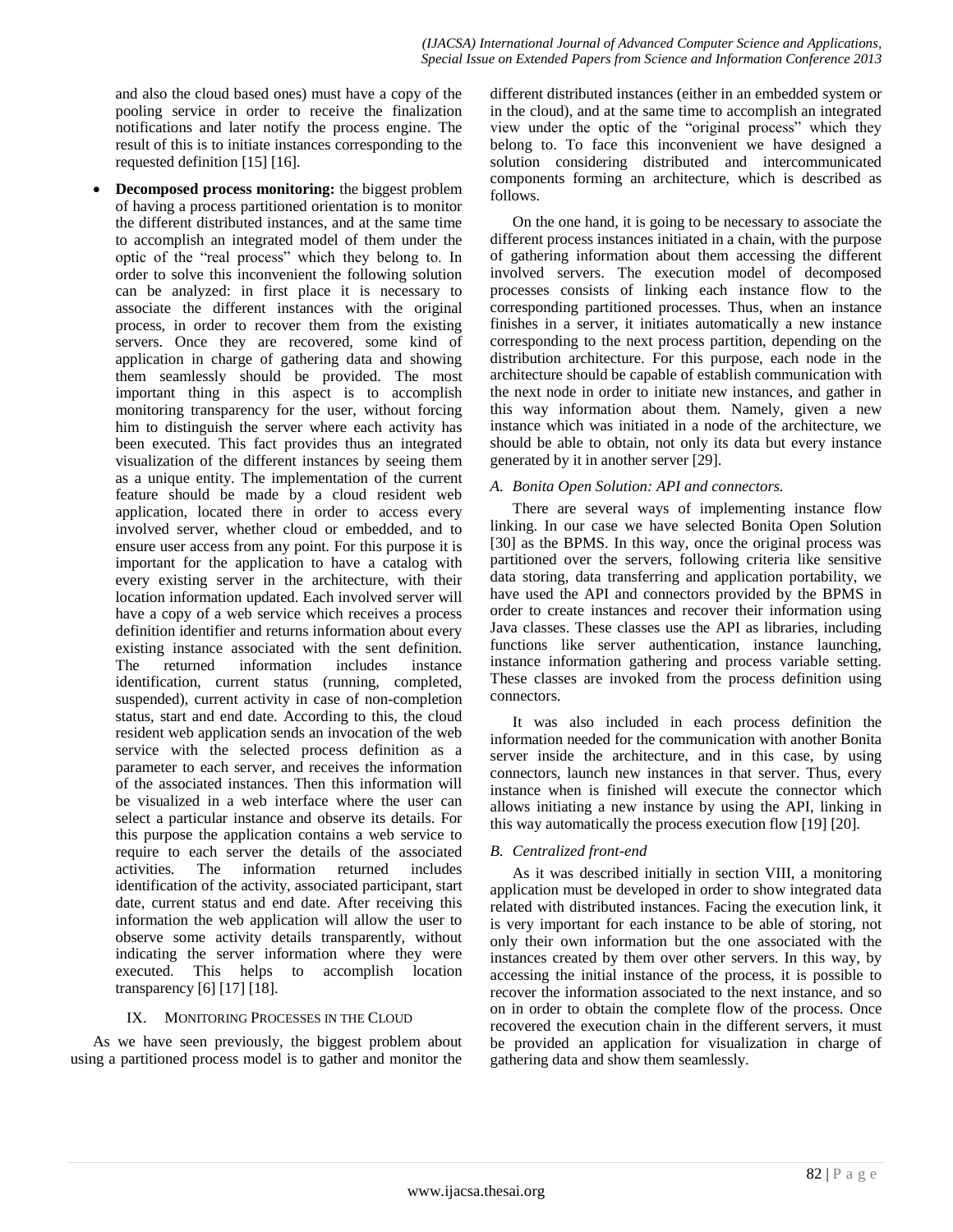and also the cloud based ones) must have a copy of the pooling service in order to receive the finalization notifications and later notify the process engine. The result of this is to initiate instances corresponding to the requested definition [15] [16].

 **Decomposed process monitoring:** the biggest problem of having a process partitioned orientation is to monitor the different distributed instances, and at the same time to accomplish an integrated model of them under the optic of the "real process" which they belong to. In order to solve this inconvenient the following solution can be analyzed: in first place it is necessary to associate the different instances with the original process, in order to recover them from the existing servers. Once they are recovered, some kind of application in charge of gathering data and showing them seamlessly should be provided. The most important thing in this aspect is to accomplish monitoring transparency for the user, without forcing him to distinguish the server where each activity has been executed. This fact provides thus an integrated visualization of the different instances by seeing them as a unique entity. The implementation of the current feature should be made by a cloud resident web application, located there in order to access every involved server, whether cloud or embedded, and to ensure user access from any point. For this purpose it is important for the application to have a catalog with every existing server in the architecture, with their location information updated. Each involved server will have a copy of a web service which receives a process definition identifier and returns information about every existing instance associated with the sent definition. The returned information includes instance identification, current status (running, completed, suspended), current activity in case of non-completion status, start and end date. According to this, the cloud resident web application sends an invocation of the web service with the selected process definition as a parameter to each server, and receives the information of the associated instances. Then this information will be visualized in a web interface where the user can select a particular instance and observe its details. For this purpose the application contains a web service to require to each server the details of the associated activities. The information returned includes identification of the activity, associated participant, start date, current status and end date. After receiving this information the web application will allow the user to observe some activity details transparently, without indicating the server information where they were executed. This helps to accomplish location transparency [6] [17] [18].

# IX. MONITORING PROCESSES IN THE CLOUD

As we have seen previously, the biggest problem about using a partitioned process model is to gather and monitor the different distributed instances (either in an embedded system or in the cloud), and at the same time to accomplish an integrated view under the optic of the "original process" which they belong to. To face this inconvenient we have designed a solution considering distributed and intercommunicated components forming an architecture, which is described as follows.

On the one hand, it is going to be necessary to associate the different process instances initiated in a chain, with the purpose of gathering information about them accessing the different involved servers. The execution model of decomposed processes consists of linking each instance flow to the corresponding partitioned processes. Thus, when an instance finishes in a server, it initiates automatically a new instance corresponding to the next process partition, depending on the distribution architecture. For this purpose, each node in the architecture should be capable of establish communication with the next node in order to initiate new instances, and gather in this way information about them. Namely, given a new instance which was initiated in a node of the architecture, we should be able to obtain, not only its data but every instance generated by it in another server [29].

# *A. Bonita Open Solution: API and connectors.*

There are several ways of implementing instance flow linking. In our case we have selected Bonita Open Solution [30] as the BPMS. In this way, once the original process was partitioned over the servers, following criteria like sensitive data storing, data transferring and application portability, we have used the API and connectors provided by the BPMS in order to create instances and recover their information using Java classes. These classes use the API as libraries, including functions like server authentication, instance launching, instance information gathering and process variable setting. These classes are invoked from the process definition using connectors.

It was also included in each process definition the information needed for the communication with another Bonita server inside the architecture, and in this case, by using connectors, launch new instances in that server. Thus, every instance when is finished will execute the connector which allows initiating a new instance by using the API, linking in this way automatically the process execution flow [19] [20].

# *B. Centralized front-end*

As it was described initially in section VIII, a monitoring application must be developed in order to show integrated data related with distributed instances. Facing the execution link, it is very important for each instance to be able of storing, not only their own information but the one associated with the instances created by them over other servers. In this way, by accessing the initial instance of the process, it is possible to recover the information associated to the next instance, and so on in order to obtain the complete flow of the process. Once recovered the execution chain in the different servers, it must be provided an application for visualization in charge of gathering data and show them seamlessly.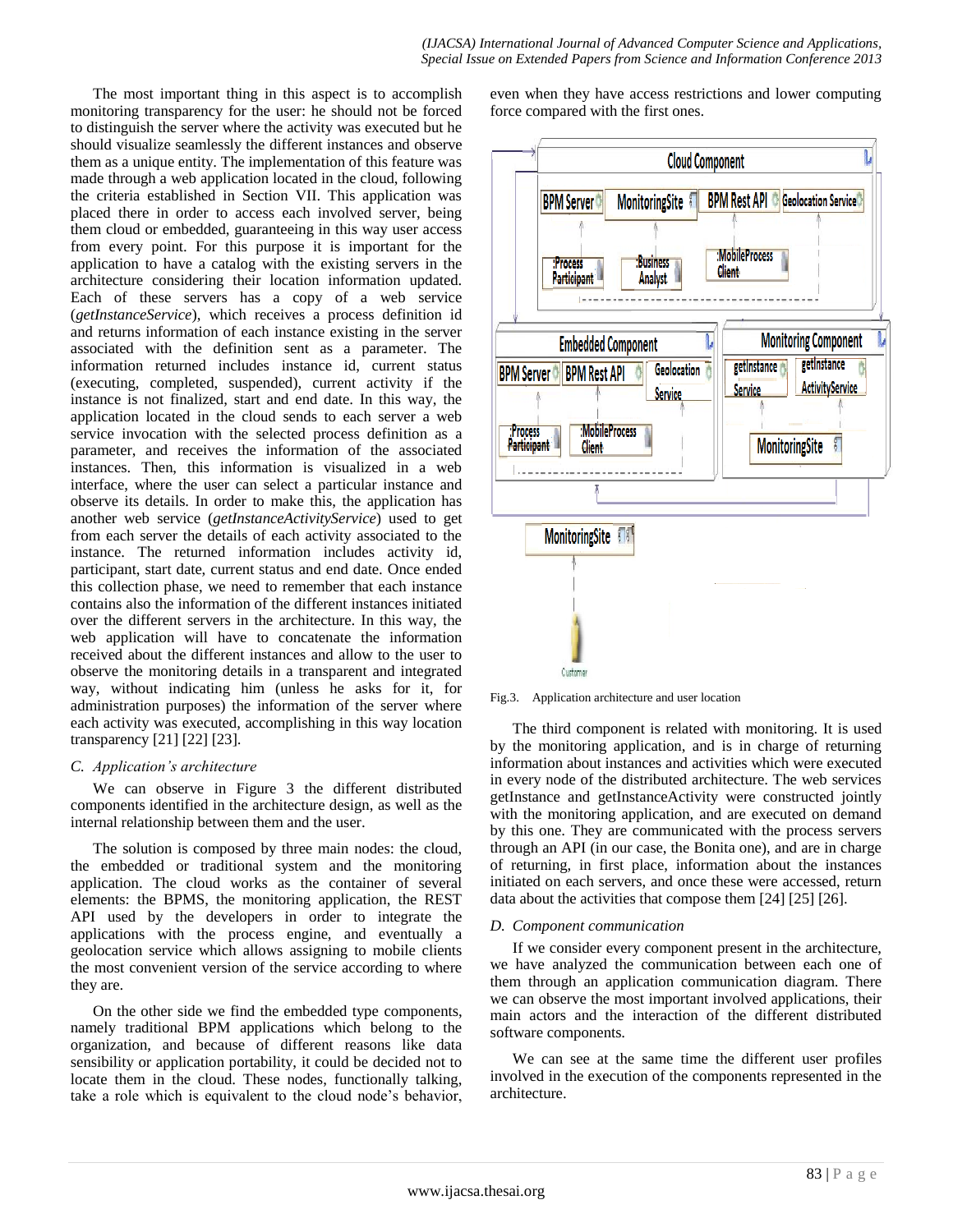The most important thing in this aspect is to accomplish monitoring transparency for the user: he should not be forced to distinguish the server where the activity was executed but he should visualize seamlessly the different instances and observe them as a unique entity. The implementation of this feature was made through a web application located in the cloud, following the criteria established in Section VII. This application was placed there in order to access each involved server, being them cloud or embedded, guaranteeing in this way user access from every point. For this purpose it is important for the application to have a catalog with the existing servers in the architecture considering their location information updated. Each of these servers has a copy of a web service (*getInstanceService*), which receives a process definition id and returns information of each instance existing in the server associated with the definition sent as a parameter. The information returned includes instance id, current status (executing, completed, suspended), current activity if the instance is not finalized, start and end date. In this way, the application located in the cloud sends to each server a web service invocation with the selected process definition as a parameter, and receives the information of the associated instances. Then, this information is visualized in a web interface, where the user can select a particular instance and observe its details. In order to make this, the application has another web service (*getInstanceActivityService*) used to get from each server the details of each activity associated to the instance. The returned information includes activity id, participant, start date, current status and end date. Once ended this collection phase, we need to remember that each instance contains also the information of the different instances initiated over the different servers in the architecture. In this way, the web application will have to concatenate the information received about the different instances and allow to the user to observe the monitoring details in a transparent and integrated way, without indicating him (unless he asks for it, for administration purposes) the information of the server where each activity was executed, accomplishing in this way location transparency [21] [22] [23].

#### *C. Application's architecture*

We can observe in Figure 3 the different distributed components identified in the architecture design, as well as the internal relationship between them and the user.

The solution is composed by three main nodes: the cloud, the embedded or traditional system and the monitoring application. The cloud works as the container of several elements: the BPMS, the monitoring application, the REST API used by the developers in order to integrate the applications with the process engine, and eventually a geolocation service which allows assigning to mobile clients the most convenient version of the service according to where they are.

On the other side we find the embedded type components, namely traditional BPM applications which belong to the organization, and because of different reasons like data sensibility or application portability, it could be decided not to locate them in the cloud. These nodes, functionally talking, take a role which is equivalent to the cloud node's behavior,

even when they have access restrictions and lower computing force compared with the first ones.



Fig.3. Application architecture and user location

The third component is related with monitoring. It is used by the monitoring application, and is in charge of returning information about instances and activities which were executed in every node of the distributed architecture. The web services getInstance and getInstanceActivity were constructed jointly with the monitoring application, and are executed on demand by this one. They are communicated with the process servers through an API (in our case, the Bonita one), and are in charge of returning, in first place, information about the instances initiated on each servers, and once these were accessed, return data about the activities that compose them [24] [25] [26].

#### *D. Component communication*

If we consider every component present in the architecture, we have analyzed the communication between each one of them through an application communication diagram. There we can observe the most important involved applications, their main actors and the interaction of the different distributed software components.

We can see at the same time the different user profiles involved in the execution of the components represented in the architecture.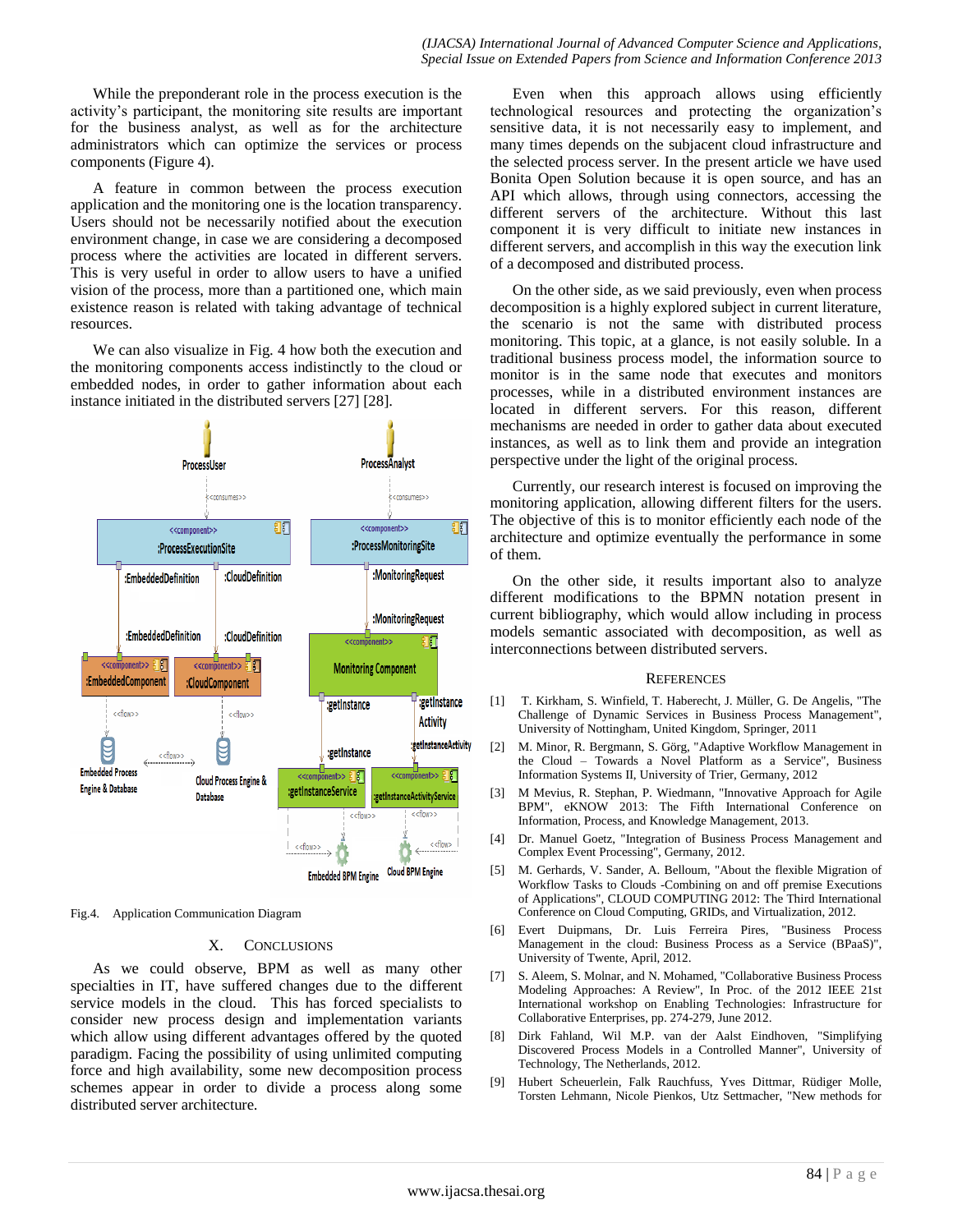#### *(IJACSA) International Journal of Advanced Computer Science and Applications, Special Issue on Extended Papers from Science and Information Conference 2013*

While the preponderant role in the process execution is the activity's participant, the monitoring site results are important for the business analyst, as well as for the architecture administrators which can optimize the services or process components (Figure 4).

A feature in common between the process execution application and the monitoring one is the location transparency. Users should not be necessarily notified about the execution environment change, in case we are considering a decomposed process where the activities are located in different servers. This is very useful in order to allow users to have a unified vision of the process, more than a partitioned one, which main existence reason is related with taking advantage of technical resources.

We can also visualize in Fig. 4 how both the execution and the monitoring components access indistinctly to the cloud or embedded nodes, in order to gather information about each instance initiated in the distributed servers [27] [28].



Fig.4. Application Communication Diagram

#### X. CONCLUSIONS

As we could observe, BPM as well as many other specialties in IT, have suffered changes due to the different service models in the cloud. This has forced specialists to consider new process design and implementation variants which allow using different advantages offered by the quoted paradigm. Facing the possibility of using unlimited computing force and high availability, some new decomposition process schemes appear in order to divide a process along some distributed server architecture.

Even when this approach allows using efficiently technological resources and protecting the organization's sensitive data, it is not necessarily easy to implement, and many times depends on the subjacent cloud infrastructure and the selected process server. In the present article we have used Bonita Open Solution because it is open source, and has an API which allows, through using connectors, accessing the different servers of the architecture. Without this last component it is very difficult to initiate new instances in different servers, and accomplish in this way the execution link of a decomposed and distributed process.

On the other side, as we said previously, even when process decomposition is a highly explored subject in current literature, the scenario is not the same with distributed process monitoring. This topic, at a glance, is not easily soluble. In a traditional business process model, the information source to monitor is in the same node that executes and monitors processes, while in a distributed environment instances are located in different servers. For this reason, different mechanisms are needed in order to gather data about executed instances, as well as to link them and provide an integration perspective under the light of the original process.

Currently, our research interest is focused on improving the monitoring application, allowing different filters for the users. The objective of this is to monitor efficiently each node of the architecture and optimize eventually the performance in some of them.

On the other side, it results important also to analyze different modifications to the BPMN notation present in current bibliography, which would allow including in process models semantic associated with decomposition, as well as interconnections between distributed servers.

#### **REFERENCES**

- [1] T. Kirkham, S. Winfield, T. Haberecht, J. Müller, G. De Angelis, "The Challenge of Dynamic Services in Business Process Management", University of Nottingham, United Kingdom, Springer, 2011
- [2] M. Minor, R. Bergmann, S. Görg, "Adaptive Workflow Management in the Cloud – Towards a Novel Platform as a Service", Business Information Systems II, University of Trier, Germany, 2012
- [3] M Mevius, R. Stephan, P. Wiedmann, "Innovative Approach for Agile BPM", eKNOW 2013: The Fifth International Conference on Information, Process, and Knowledge Management, 2013.
- [4] Dr. Manuel Goetz, "Integration of Business Process Management and Complex Event Processing", Germany, 2012.
- [5] M. Gerhards, V. Sander, A. Belloum, "About the flexible Migration of Workflow Tasks to Clouds -Combining on and off premise Executions of Applications", CLOUD COMPUTING 2012: The Third International Conference on Cloud Computing, GRIDs, and Virtualization, 2012.
- [6] Evert Duipmans, Dr. Luis Ferreira Pires, "Business Process Management in the cloud: Business Process as a Service (BPaaS)", University of Twente, April, 2012.
- [7] S. Aleem, S. Molnar, and N. Mohamed, "Collaborative Business Process Modeling Approaches: A Review", In Proc. of the 2012 IEEE 21st International workshop on Enabling Technologies: Infrastructure for Collaborative Enterprises, pp. 274-279, June 2012.
- [8] Dirk Fahland, Wil M.P. van der Aalst Eindhoven, "Simplifying Discovered Process Models in a Controlled Manner", University of Technology, The Netherlands, 2012.
- [9] Hubert Scheuerlein, Falk Rauchfuss, Yves Dittmar, Rüdiger Molle, Torsten Lehmann, Nicole Pienkos, Utz Settmacher, "New methods for